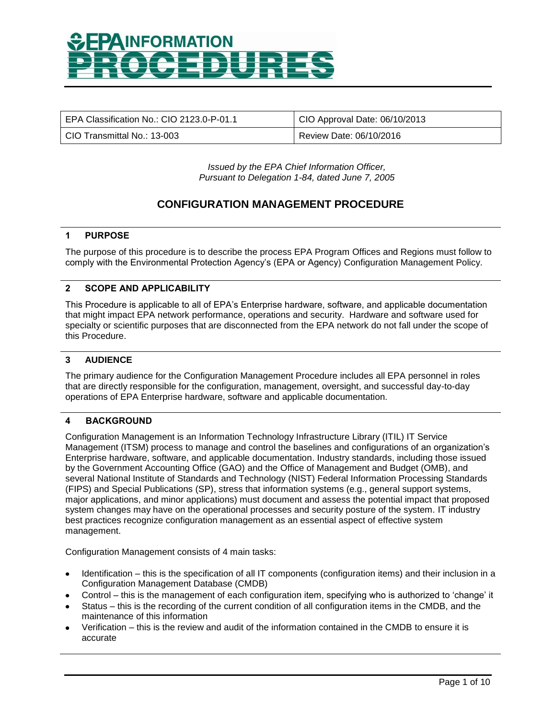| EPA Classification No.: CIO 2123.0-P-01.1 | CIO Approval Date: 06/10/2013 |
|-------------------------------------------|-------------------------------|
| l_CIO Transmittal No.: 13-003_            | Review Date: 06/10/2016       |

*Issued by the EPA Chief Information Officer, Pursuant to Delegation 1-84, dated June 7, 2005*

### **CONFIGURATION MANAGEMENT PROCEDURE**

### **1 PURPOSE**

The purpose of this procedure is to describe the process EPA Program Offices and Regions must follow to comply with the Environmental Protection Agency's (EPA or Agency) Configuration Management Policy.

### **2 SCOPE AND APPLICABILITY**

This Procedure is applicable to all of EPA's Enterprise hardware, software, and applicable documentation that might impact EPA network performance, operations and security. Hardware and software used for specialty or scientific purposes that are disconnected from the EPA network do not fall under the scope of this Procedure.

### **3 AUDIENCE**

The primary audience for the Configuration Management Procedure includes all EPA personnel in roles that are directly responsible for the configuration, management, oversight, and successful day-to-day operations of EPA Enterprise hardware, software and applicable documentation.

#### **4 BACKGROUND**

Configuration Management is an Information Technology Infrastructure Library (ITIL) IT Service Management (ITSM) process to manage and control the baselines and configurations of an organization's Enterprise hardware, software, and applicable documentation. Industry standards, including those issued by the Government Accounting Office (GAO) and the Office of Management and Budget (OMB), and several National Institute of Standards and Technology (NIST) Federal Information Processing Standards (FIPS) and Special Publications (SP), stress that information systems (e.g., general support systems, major applications, and minor applications) must document and assess the potential impact that proposed system changes may have on the operational processes and security posture of the system. IT industry best practices recognize configuration management as an essential aspect of effective system management.

Configuration Management consists of 4 main tasks:

- Identification this is the specification of all IT components (configuration items) and their inclusion in a Configuration Management Database (CMDB)
- Control this is the management of each configuration item, specifying who is authorized to 'change' it
- Status this is the recording of the current condition of all configuration items in the CMDB, and the maintenance of this information
- Verification this is the review and audit of the information contained in the CMDB to ensure it is accurate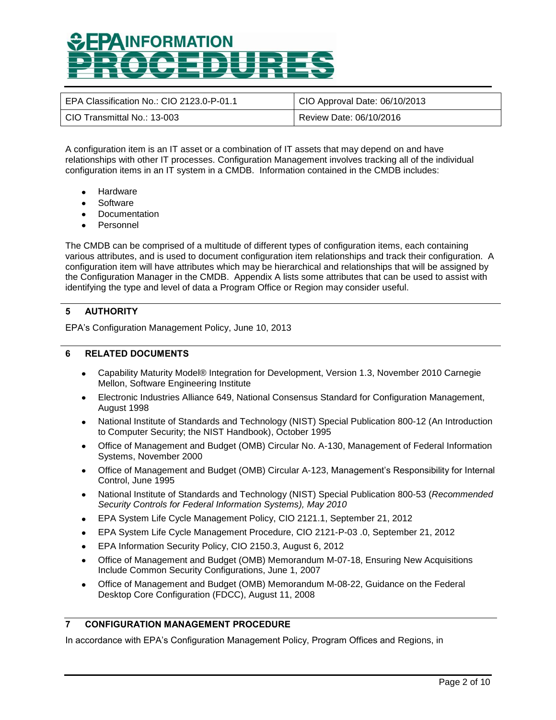| EPA Classification No.: CIO 2123.0-P-01.1 | CIO Approval Date: 06/10/2013 |
|-------------------------------------------|-------------------------------|
| CIO Transmittal No.: 13-003               | Review Date: 06/10/2016       |

A configuration item is an IT asset or a combination of IT assets that may depend on and have relationships with other IT processes. Configuration Management involves tracking all of the individual configuration items in an IT system in a CMDB. Information contained in the CMDB includes:

- **Hardware**
- **Software**
- **Documentation**
- Personnel

The CMDB can be comprised of a multitude of different types of configuration items, each containing various attributes, and is used to document configuration item relationships and track their configuration. A configuration item will have attributes which may be hierarchical and relationships that will be assigned by the Configuration Manager in the CMDB. Appendix A lists some attributes that can be used to assist with identifying the type and level of data a Program Office or Region may consider useful.

### **5 AUTHORITY**

EPA's Configuration Management Policy, June 10, 2013

#### **6 RELATED DOCUMENTS**

- Capability Maturity Model® Integration for Development, Version 1.3, November 2010 Carnegie Mellon, Software Engineering Institute
- Electronic Industries Alliance 649, National Consensus Standard for Configuration Management, August 1998
- National Institute of Standards and Technology (NIST) Special Publication 800-12 (An Introduction to Computer Security; the NIST Handbook), October 1995
- Office of Management and Budget (OMB) Circular No. A-130, Management of Federal Information Systems, November 2000
- Office of Management and Budget (OMB) Circular A-123, Management's Responsibility for Internal Control, June 1995
- National Institute of Standards and Technology (NIST) Special Publication 800-53 (*Recommended*   $\bullet$ *Security Controls for Federal Information Systems), May 2010*
- EPA System Life Cycle Management Policy, CIO 2121.1, September 21, 2012  $\bullet$
- EPA System Life Cycle Management Procedure, CIO 2121-P-03 .0, September 21, 2012  $\bullet$
- EPA Information Security Policy, CIO 2150.3, August 6, 2012
- Office of Management and Budget (OMB) Memorandum M-07-18, Ensuring New Acquisitions Include Common Security Configurations, June 1, 2007
- Office of Management and Budget (OMB) Memorandum M-08-22, Guidance on the Federal  $\bullet$ Desktop Core Configuration (FDCC), August 11, 2008

### **7 CONFIGURATION MANAGEMENT PROCEDURE**

In accordance with EPA's Configuration Management Policy, Program Offices and Regions, in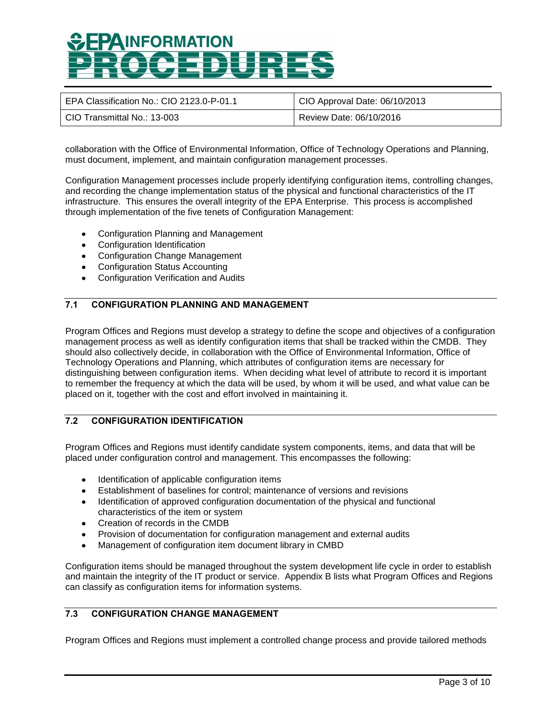| EPA Classification No.: CIO 2123.0-P-01.1 | CIO Approval Date: 06/10/2013 |
|-------------------------------------------|-------------------------------|
| CIO Transmittal No.: 13-003               | Review Date: 06/10/2016       |

collaboration with the Office of Environmental Information, Office of Technology Operations and Planning, must document, implement, and maintain configuration management processes.

Configuration Management processes include properly identifying configuration items, controlling changes, and recording the change implementation status of the physical and functional characteristics of the IT infrastructure. This ensures the overall integrity of the EPA Enterprise. This process is accomplished through implementation of the five tenets of Configuration Management:

- Configuration Planning and Management
- Configuration Identification
- Configuration Change Management
- Configuration Status Accounting
- Configuration Verification and Audits

### **7.1 CONFIGURATION PLANNING AND MANAGEMENT**

Program Offices and Regions must develop a strategy to define the scope and objectives of a configuration management process as well as identify configuration items that shall be tracked within the CMDB. They should also collectively decide, in collaboration with the Office of Environmental Information, Office of Technology Operations and Planning, which attributes of configuration items are necessary for distinguishing between configuration items. When deciding what level of attribute to record it is important to remember the frequency at which the data will be used, by whom it will be used, and what value can be placed on it, together with the cost and effort involved in maintaining it.

### **7.2 CONFIGURATION IDENTIFICATION**

Program Offices and Regions must identify candidate system components, items, and data that will be placed under configuration control and management. This encompasses the following:

- Identification of applicable configuration items
- Establishment of baselines for control; maintenance of versions and revisions
- Identification of approved configuration documentation of the physical and functional characteristics of the item or system
- Creation of records in the CMDB
- Provision of documentation for configuration management and external audits
- Management of configuration item document library in CMBD

Configuration items should be managed throughout the system development life cycle in order to establish and maintain the integrity of the IT product or service. Appendix B lists what Program Offices and Regions can classify as configuration items for information systems.

### **7.3 CONFIGURATION CHANGE MANAGEMENT**

Program Offices and Regions must implement a controlled change process and provide tailored methods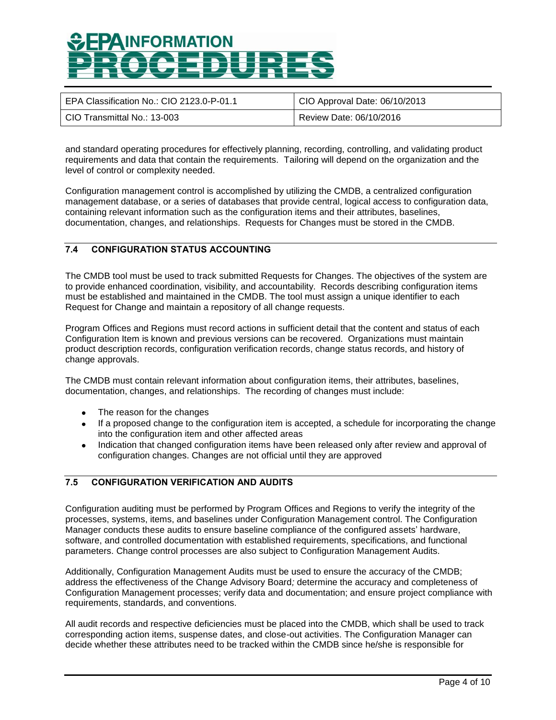| EPA Classification No.: CIO 2123.0-P-01.1 | CIO Approval Date: 06/10/2013 |
|-------------------------------------------|-------------------------------|
| CIO Transmittal No.: 13-003               | Review Date: 06/10/2016       |

and standard operating procedures for effectively planning, recording, controlling, and validating product requirements and data that contain the requirements. Tailoring will depend on the organization and the level of control or complexity needed.

Configuration management control is accomplished by utilizing the CMDB, a centralized configuration management database, or a series of databases that provide central, logical access to configuration data, containing relevant information such as the configuration items and their attributes, baselines, documentation, changes, and relationships. Requests for Changes must be stored in the CMDB.

### **7.4 CONFIGURATION STATUS ACCOUNTING**

The CMDB tool must be used to track submitted Requests for Changes. The objectives of the system are to provide enhanced coordination, visibility, and accountability. Records describing configuration items must be established and maintained in the CMDB. The tool must assign a unique identifier to each Request for Change and maintain a repository of all change requests.

Program Offices and Regions must record actions in sufficient detail that the content and status of each Configuration Item is known and previous versions can be recovered. Organizations must maintain product description records, configuration verification records, change status records, and history of change approvals.

The CMDB must contain relevant information about configuration items, their attributes, baselines, documentation, changes, and relationships. The recording of changes must include:

- The reason for the changes
- If a proposed change to the configuration item is accepted, a schedule for incorporating the change into the configuration item and other affected areas
- Indication that changed configuration items have been released only after review and approval of configuration changes. Changes are not official until they are approved

### **7.5 CONFIGURATION VERIFICATION AND AUDITS**

Configuration auditing must be performed by Program Offices and Regions to verify the integrity of the processes, systems, items, and baselines under Configuration Management control. The Configuration Manager conducts these audits to ensure baseline compliance of the configured assets' hardware, software, and controlled documentation with established requirements, specifications, and functional parameters. Change control processes are also subject to Configuration Management Audits.

Additionally, Configuration Management Audits must be used to ensure the accuracy of the CMDB; address the effectiveness of the Change Advisory Board*;* determine the accuracy and completeness of Configuration Management processes; verify data and documentation; and ensure project compliance with requirements, standards, and conventions.

All audit records and respective deficiencies must be placed into the CMDB, which shall be used to track corresponding action items, suspense dates, and close-out activities. The Configuration Manager can decide whether these attributes need to be tracked within the CMDB since he/she is responsible for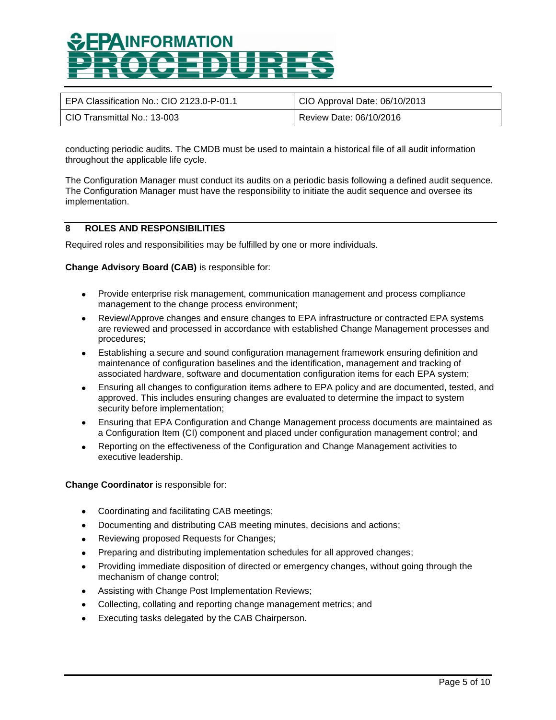| EPA Classification No.: CIO 2123.0-P-01.1 | CIO Approval Date: 06/10/2013 |
|-------------------------------------------|-------------------------------|
| ⊦ CIO Transmittal No.: 13-003 ∶           | Review Date: 06/10/2016       |

conducting periodic audits. The CMDB must be used to maintain a historical file of all audit information throughout the applicable life cycle.

The Configuration Manager must conduct its audits on a periodic basis following a defined audit sequence. The Configuration Manager must have the responsibility to initiate the audit sequence and oversee its implementation.

### **8 ROLES AND RESPONSIBILITIES**

Required roles and responsibilities may be fulfilled by one or more individuals.

#### **Change Advisory Board (CAB)** is responsible for:

- Provide enterprise risk management, communication management and process compliance management to the change process environment;
- Review/Approve changes and ensure changes to EPA infrastructure or contracted EPA systems are reviewed and processed in accordance with established Change Management processes and procedures;
- Establishing a secure and sound configuration management framework ensuring definition and  $\bullet$ maintenance of configuration baselines and the identification, management and tracking of associated hardware, software and documentation configuration items for each EPA system;
- Ensuring all changes to configuration items adhere to EPA policy and are documented, tested, and approved. This includes ensuring changes are evaluated to determine the impact to system security before implementation;
- Ensuring that EPA Configuration and Change Management process documents are maintained as a Configuration Item (CI) component and placed under configuration management control; and
- Reporting on the effectiveness of the Configuration and Change Management activities to executive leadership.

**Change Coordinator** is responsible for:

- Coordinating and facilitating CAB meetings;
- Documenting and distributing CAB meeting minutes, decisions and actions;
- Reviewing proposed Requests for Changes;
- Preparing and distributing implementation schedules for all approved changes;
- Providing immediate disposition of directed or emergency changes, without going through the  $\bullet$ mechanism of change control;
- Assisting with Change Post Implementation Reviews;  $\bullet$  .
- Collecting, collating and reporting change management metrics; and
- Executing tasks delegated by the CAB Chairperson.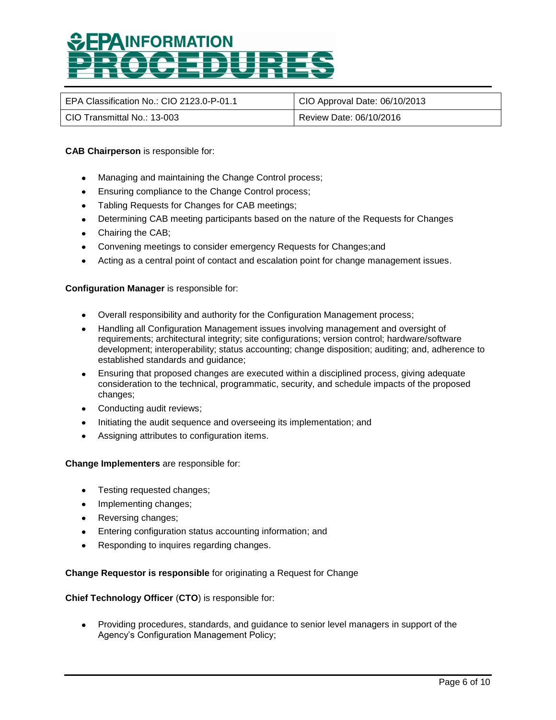| EPA Classification No.: CIO 2123.0-P-01.1 | CIO Approval Date: 06/10/2013 |
|-------------------------------------------|-------------------------------|
| ⊦ CIO Transmittal No.: 13-003             | Review Date: 06/10/2016       |

### **CAB Chairperson** is responsible for:

- Managing and maintaining the Change Control process;
- **Ensuring compliance to the Change Control process;**
- Tabling Requests for Changes for CAB meetings;
- Determining CAB meeting participants based on the nature of the Requests for Changes
- Chairing the CAB;
- Convening meetings to consider emergency Requests for Changes;and
- Acting as a central point of contact and escalation point for change management issues.  $\bullet$

### **Configuration Manager** is responsible for:

- Overall responsibility and authority for the Configuration Management process;
- Handling all Configuration Management issues involving management and oversight of requirements; architectural integrity; site configurations; version control; hardware/software development; interoperability; status accounting; change disposition; auditing; and, adherence to established standards and guidance;
- Ensuring that proposed changes are executed within a disciplined process, giving adequate consideration to the technical, programmatic, security, and schedule impacts of the proposed changes;
- Conducting audit reviews;
- Initiating the audit sequence and overseeing its implementation; and
- Assigning attributes to configuration items.

#### **Change Implementers** are responsible for:

- Testing requested changes;
- Implementing changes;
- Reversing changes;
- **Entering configuration status accounting information; and**
- Responding to inquires regarding changes.

### **Change Requestor is responsible** for originating a Request for Change

#### **Chief Technology Officer** (**CTO**) is responsible for:

Providing procedures, standards, and guidance to senior level managers in support of the Agency's Configuration Management Policy;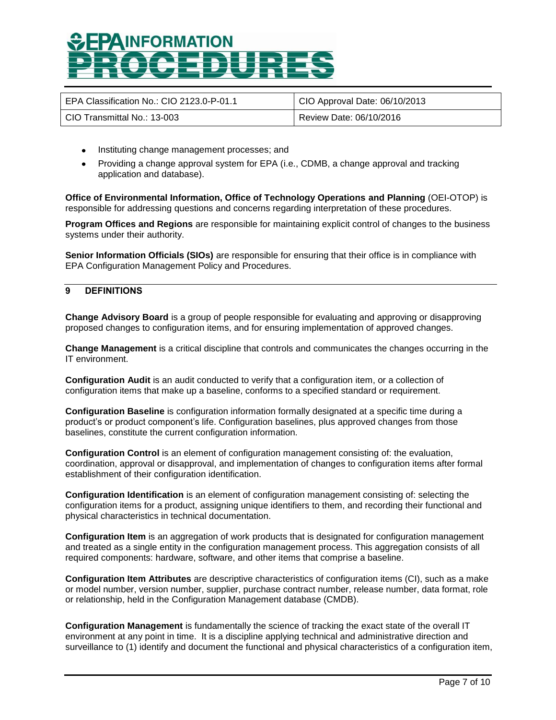| EPA Classification No.: CIO 2123.0-P-01.1 | CIO Approval Date: 06/10/2013 |
|-------------------------------------------|-------------------------------|
| CIO Transmittal No.: 13-003               | Review Date: 06/10/2016       |

- Instituting change management processes; and
- Providing a change approval system for EPA (i.e., CDMB, a change approval and tracking application and database).

**Office of Environmental Information, Office of Technology Operations and Planning** (OEI-OTOP) is responsible for addressing questions and concerns regarding interpretation of these procedures.

**Program Offices and Regions** are responsible for maintaining explicit control of changes to the business systems under their authority.

**Senior Information Officials (SIOs)** are responsible for ensuring that their office is in compliance with EPA Configuration Management Policy and Procedures.

### **9 DEFINITIONS**

**Change Advisory Board** is a group of people responsible for evaluating and approving or disapproving proposed changes to configuration items, and for ensuring implementation of approved changes.

**Change Management** is a critical discipline that controls and communicates the changes occurring in the IT environment.

**Configuration Audit** is an audit conducted to verify that a configuration item, or a collection of configuration items that make up a baseline, conforms to a specified standard or requirement.

**Configuration Baseline** is configuration information formally designated at a specific time during a product's or product component's life. Configuration baselines, plus approved changes from those baselines, constitute the current configuration information.

**Configuration Control** is an element of configuration management consisting of: the evaluation, coordination, approval or disapproval, and implementation of changes to configuration items after formal establishment of their configuration identification.

**Configuration Identification** is an element of configuration management consisting of: selecting the configuration items for a product, assigning unique identifiers to them, and recording their functional and physical characteristics in technical documentation.

**Configuration Item** is an aggregation of work products that is designated for configuration management and treated as a single entity in the configuration management process. This aggregation consists of all required components: hardware, software, and other items that comprise a baseline.

**Configuration Item Attributes** are descriptive characteristics of configuration items (CI), such as a make or model number, version number, supplier, purchase contract number, release number, data format, role or relationship, held in the Configuration Management database (CMDB).

**Configuration Management** is fundamentally the science of tracking the exact state of the overall IT environment at any point in time. It is a discipline applying technical and administrative direction and surveillance to (1) identify and document the functional and physical characteristics of a configuration item,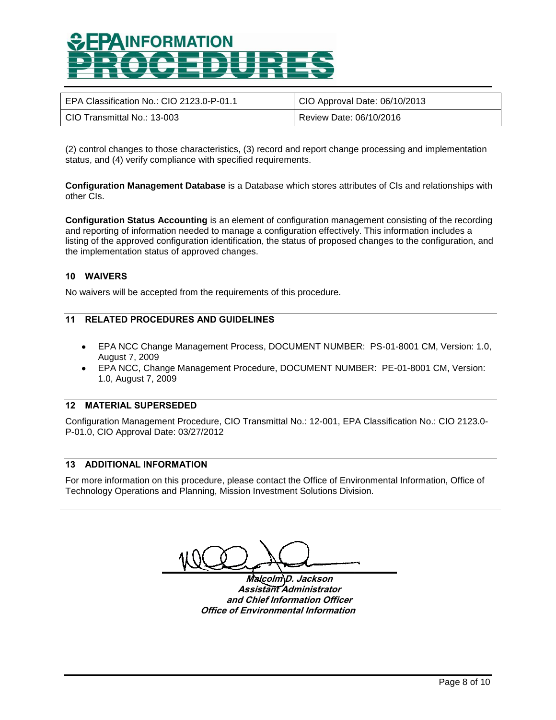| EPA Classification No.: CIO 2123.0-P-01.1 | CIO Approval Date: 06/10/2013 |
|-------------------------------------------|-------------------------------|
| CIO Transmittal No.: 13-003               | Review Date: 06/10/2016       |

(2) control changes to those characteristics, (3) record and report change processing and implementation status, and (4) verify compliance with specified requirements.

**Configuration Management Database** is a Database which stores attributes of CIs and relationships with other CIs.

**Configuration Status Accounting** is an element of configuration management consisting of the recording and reporting of information needed to manage a configuration effectively. This information includes a listing of the approved configuration identification, the status of proposed changes to the configuration, and the implementation status of approved changes.

### **10 WAIVERS**

No waivers will be accepted from the requirements of this procedure.

### **11 RELATED PROCEDURES AND GUIDELINES**

- EPA NCC Change Management Process, DOCUMENT NUMBER: PS-01-8001 CM, Version: 1.0, August 7, 2009
- EPA NCC, Change Management Procedure, DOCUMENT NUMBER: PE-01-8001 CM, Version: 1.0, August 7, 2009

### **12 MATERIAL SUPERSEDED**

Configuration Management Procedure, CIO Transmittal No.: 12-001, EPA Classification No.: CIO 2123.0- P-01.0, CIO Approval Date: 03/27/2012

### **13 ADDITIONAL INFORMATION**

For more information on this procedure, please contact the Office of Environmental Information, Office of Technology Operations and Planning, Mission Investment Solutions Division.

**Malcolm D. Jackson Assistant Administrator and Chief Information Officer Office of Environmental Information**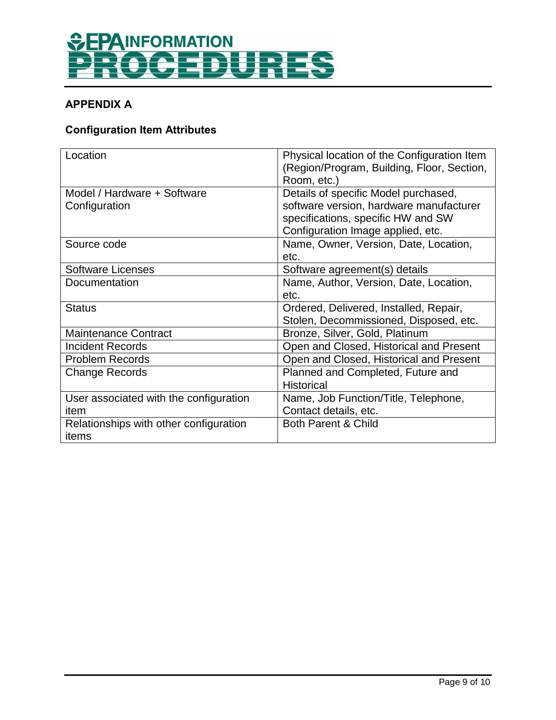

### **APPENDIX A**

### **Configuration Item Attributes**

| Location                                        | Physical location of the Configuration Item<br>(Region/Program, Building, Floor, Section,<br>Room, etc.)              |
|-------------------------------------------------|-----------------------------------------------------------------------------------------------------------------------|
| Model / Hardware + Software<br>Configuration    | Details of specific Model purchased,<br>software version, hardware manufacturer<br>specifications, specific HW and SW |
| Source code                                     | Configuration Image applied, etc.<br>Name, Owner, Version, Date, Location,<br>etc.                                    |
| <b>Software Licenses</b>                        | Software agreement(s) details                                                                                         |
| Documentation                                   | Name, Author, Version, Date, Location,<br>etc.                                                                        |
| <b>Status</b>                                   | Ordered, Delivered, Installed, Repair,<br>Stolen, Decommissioned, Disposed, etc.                                      |
| <b>Maintenance Contract</b>                     | Bronze, Silver, Gold, Platinum                                                                                        |
| <b>Incident Records</b>                         | Open and Closed, Historical and Present                                                                               |
| <b>Problem Records</b>                          | Open and Closed, Historical and Present                                                                               |
| <b>Change Records</b>                           | Planned and Completed, Future and<br><b>Historical</b>                                                                |
| User associated with the configuration<br>item  | Name, Job Function/Title, Telephone,<br>Contact details, etc.                                                         |
| Relationships with other configuration<br>items | <b>Both Parent &amp; Child</b>                                                                                        |